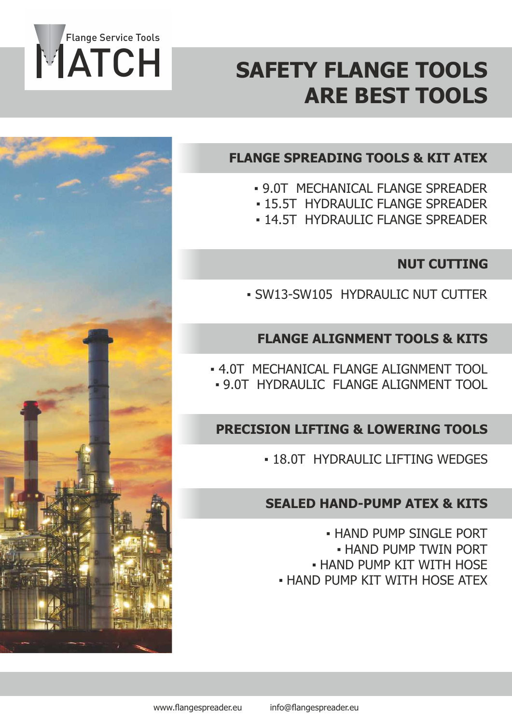

## **SAFETY FLANGE TOOLS ARE BEST TOOLS**

## **FLANGE SPREADING TOOLS & KIT ATEX**

- 9.0T MECHANICAL FLANGE SPREADER
- **.15.5T HYDRAULIC FLANGE SPREADER**
- **. 14.5T HYDRAULIC FLANGE SPREADER**

## **NUT CUTTING**

▪ SW13-SW105 HYDRAULIC NUT CUTTER

### **FLANGE ALIGNMENT TOOLS & KITS**

**.4.0T MECHANICAL ELANGE ALIGNMENT TOOL** ▪ 9.0T HYDRAULIC FLANGE ALIGNMENT TOOL

## **PRECISION LIFTING & LOWERING TOOLS**

**. 18.0T HYDRAULIC LIFTING WEDGES** 

### **SEALED HAND-PUMP ATEX & KITS**

**. HAND PUMP SINGLE PORT** ▪ HAND PUMP TWIN PORT **. HAND PUMP KIT WITH HOSE . HAND PUMP KIT WITH HOSE ATEX** 

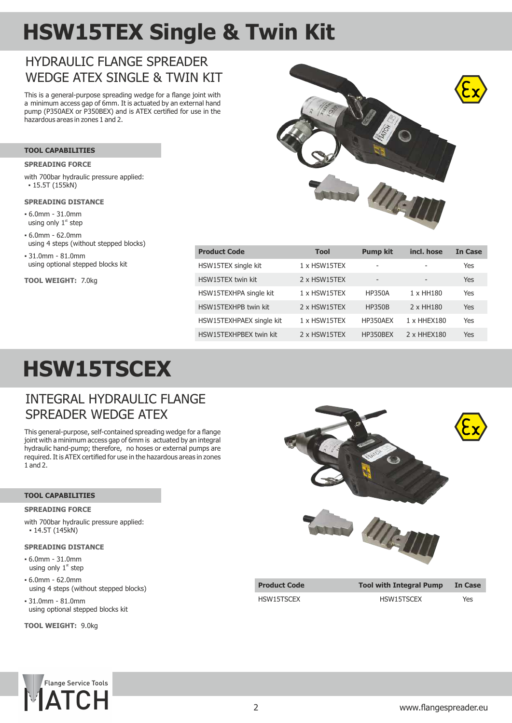# **HSW15TEX Single & Twin Kit**

## HYDRAUL IC FLANGE SPREADER WEDGE ATEX SINGLE & TWIN KIT

This is a general-purpose spreading wedge for a flange joint with a minimum access gap of 6mm. It is actuated by an external hand pump (P350AEX or P350BEX) and is ATEX certified for use in the hazardous areas in zones 1 and 2.

#### **TOOL CAPABILITIES**

#### **SPREADING FORCE**

with 700bar hydraulic pressure applied:  $• 15.5T (155kN)$ 

#### **SPREADING DISTANCE**

- 6.0mm 31.0mm using only  $1<sup>st</sup>$  step
- 6.0mm 62.0mm using 4 steps (without stepped blocks)
- 31.0mm 81.0mm using optional stepped blocks kit

**TOOL WEIGHT:** 7.0kg



| Tool                | <b>Pump kit</b>              | incl. hose                   | <b>In Case</b> |
|---------------------|------------------------------|------------------------------|----------------|
| $1 \times$ HSW15TEX | -                            |                              | Yes            |
| 2 x HSW15TEX        | $\qquad \qquad \blacksquare$ | $\qquad \qquad \blacksquare$ | Yes            |
| $1 \times$ HSW15TEX | <b>HP350A</b>                | 1 x HH180                    | Yes            |
| 2 x HSW15TEX        | <b>HP350B</b>                | 2 x HH180                    | Yes            |
| $1 \times$ HSW15TEX | HP350AEX                     | 1 x HHEX180                  | Yes            |
| 2 x HSW15TEX        | HP350BEX                     | 2 x HHEX180                  | Yes            |
|                     |                              |                              |                |

# **HSW15TSCEX**

### INTEGRAL HYDRAULIC FLANGE SPREADER WEDGE ATEX

This general-purpose, self-contained spreading wedge for a flange joint with a minimum access gap of 6mm is actuated by an integral hydraulic hand-pump; therefore, no hoses or external pumps are required. It is ATEX certified for use in the hazardous areas in zones 1 and 2.

#### **TOOL CAPABILITIES**

#### **SPREADING FORCE**

with 700bar hydraulic pressure applied:  $-14.5T(145kN)$ 

#### **SPREADING DISTANCE**

- 6.0mm 31.0mm using only  $1<sup>st</sup>$  step
- 6.0mm 62.0mm using 4 steps (without stepped blocks)
- 31.0mm 81.0mm using optional stepped blocks kit

**TOOL WEIGHT:** 9.0kg





HSW15TSCEX HSW15TSCEX Yes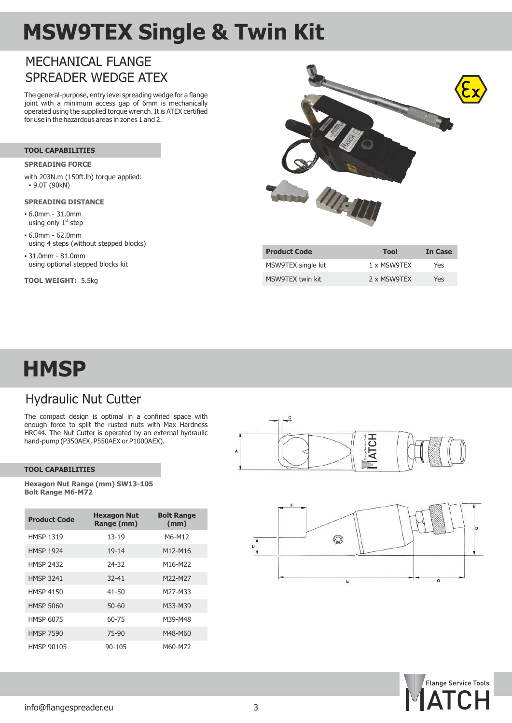## **MSW9TEX Single & Twin Kit**

## MECHANICAL FLANGE SPREADER WEDGE ATEX

The general-purpose, entry level spreading wedge for a flange joint with a minimum access gap of 6mm is mechanically operated using the supplied torque wrench. It is ATEX certified for use in the hazardous areas in zones 1 and 2.

#### **TOOL CAPABILITIES**

#### **SPREADING FORCE**

with 203N.m (150ft.lb) torque applied: ▪ 9.0T (90kN)

#### **SPREADING DISTANCE**

- 6.0mm 31.0mm using only  $1<sup>st</sup>$  step
- 6.0mm 62.0mm using 4 steps (without stepped blocks)
- 31.0mm 81.0mm using optional stepped blocks kit

**TOOL WEIGHT:** 5.5kg



| <b>Product Code</b> | Tool        | <b>In Case</b> |
|---------------------|-------------|----------------|
| MSW9TEX single kit  | 1 x MSW9TFX | Yes            |
| MSW9TFX twin kit    | 2 x MSW9TFX | Yes            |

## **HMSP**

## Hydraulic Nut Cutter

The compact design is optimal in a confined space with enough force to split the rusted nuts with Max Hardness HRC44. The Nut Cutter is operated by an external hydraulic hand-pump (P350AEX, P550AEX or P1000AEX).

#### **TOOL CAPABILITIES**

**Hexagon Nut Range (mm) SW13-105 Bolt Range M6-M72**

| <b>Product Code</b> | <b>Hexagon Nut</b><br>Range (mm) | <b>Bolt Range</b><br>(mm) |
|---------------------|----------------------------------|---------------------------|
| <b>HMSP 1319</b>    | 13-19                            | M6-M12                    |
| <b>HMSP 1924</b>    | $19 - 14$                        | M12-M16                   |
| <b>HMSP 2432</b>    | 24-32                            | M16-M22                   |
| <b>HMSP 3241</b>    | $32 - 41$                        | M22-M27                   |
| HMSP 4150           | $41 - 50$                        | M27-M33                   |
| <b>HMSP 5060</b>    | $50 - 60$                        | M33-M39                   |
| <b>HMSP 6075</b>    | 60-75                            | M39-M48                   |
| <b>HMSP 7590</b>    | 75-90                            | M48-M60                   |
| <b>HMSP 90105</b>   | 90-105                           | M60-M72                   |



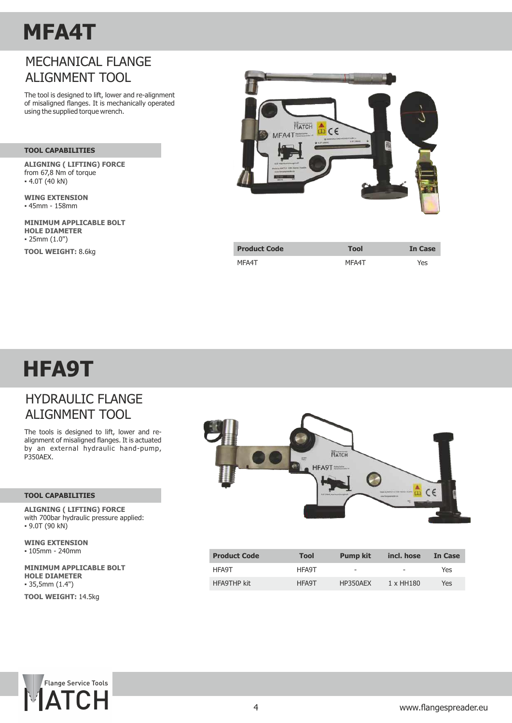## **MFA4T**

## MECHANICAL FLANGE ALIGNMENT TOOL

The tool is designed to lift, lower and re-alignment of misaligned flanges. It is mechanically operated using the supplied torque wrench.

#### **TOOL CAPABILITIES**

**ALIGNING ( LIFTING) FORCE**  from 67,8 Nm of torque  $-4.0T(40 kN)$ 

**WING EXTENSION** ▪ 45mm - 158mm

**MINIMUM APPLICABLE BOLT**  ▪ 25mm (1.0") **TOOL WEIGHT:** 8.6kg **HOLE DIAMETER**



| <b>Product Code</b> | <b>Tool</b> | <b>In Case</b> |
|---------------------|-------------|----------------|
| MFA4T               | MFA4T       | Yes            |

## **HFA9T**

## HYDRAULIC FLANGE ALIGNMENT TOOL

The tools is designed to lift, lower and realignment of misaligned flanges. It is actuated by an external hydraulic hand-pump, P350AEX.

#### **TOOL CAPABILITIES**

**ALIGNING ( LIFTING) FORCE**  with 700bar hydraulic pressure applied:  $-9.0T(90 kN)$ 

▪ 105mm - 240mm **WING EXTENSION**

**MINIMUM APPLICABLE BOLT**   $• 35,5mm (1.4")$ **HOLE DIAMETER**

**TOOL WEIGHT:** 14.5kg



| <b>Product Code</b> | Tool  | <b>Pump kit</b>          | incl. hose               | In Case |
|---------------------|-------|--------------------------|--------------------------|---------|
| HFA9T               | HFA9T | $\overline{\phantom{a}}$ | $\overline{\phantom{a}}$ | Yes     |
| <b>HFA9THP kit</b>  | HFA9T | HP350AFX                 | 1 x HH180                | Yes     |

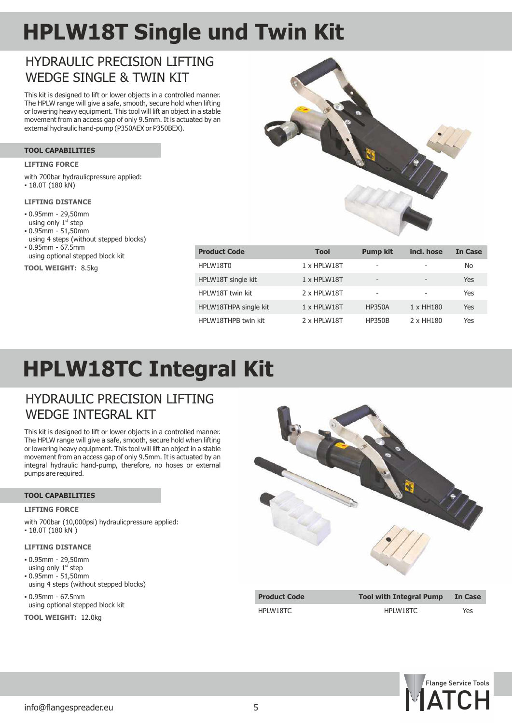# **HPLW18T Single und Twin Kit**

## HYDRAULIC PRECISION LIFTING WEDGE SINGLE & TWIN KIT

This kit is designed to lift or lower objects in a controlled manner. The HPLW range will give a safe, smooth, secure hold when lifting or lowering heavy equipment. This tool will lift an object in a stable movement from an access gap of only 9.5mm. It is actuated by an external hydraulic hand-pump (P350AEX or P350BEX).

#### **TOOL CAPABILITIES**

#### **LIFTING FORCE**

- with 700bar hydraulicpressure applied:
- 18.0T (180 KN)

#### **LIFTING DISTANCE**

- 0.95mm 29,50mm using only  $1<sup>st</sup>$  step
- 0.95mm 51,50mm
- 0.95mm 67.5mm using 4 steps (without stepped blocks)
- using optional stepped block kit

**TOOL WEIGHT:** 8.5kg



| <b>Product Code</b>   | <b>Tool</b> | <b>Pump kit</b>          | incl. hose | In Case |
|-----------------------|-------------|--------------------------|------------|---------|
| HPLW18T0              | 1 x HPLW18T | -                        |            | No      |
| HPLW18T single kit    | 1 x HPLW18T | $\overline{\phantom{a}}$ |            | Yes     |
| HPLW18T twin kit      | 2 x HPLW18T | -                        |            | Yes     |
| HPLW18THPA single kit | 1 x HPLW18T | <b>HP350A</b>            | 1 x HH180  | Yes     |
| HPLW18THPB twin kit   | 2 x HPLW18T | <b>HP350B</b>            | 2 x HH180  | Yes     |

## **HPLW18TC Integral Kit**

### HYDRAULIC PRECISION LIFTING WEDGE INTEGRAL KIT

This kit is designed to lift or lower objects in a controlled manner. The HPLW range will give a safe, smooth, secure hold when lifting or lowering heavy equipment. This tool will lift an object in a stable movement from an access gap of only 9.5mm. It is actuated by an integral hydraulic hand-pump, therefore, no hoses or external pumps are required.

#### **TOOL CAPABILITIES**

#### **LIFTING FORCE**

with 700bar (10,000psi) hydraulicpressure applied:  $\cdot$  18.0T (180 kN)

#### **LIFTING DISTANCE**

- 0.95mm 29,50mm
- using only  $1<sup>st</sup>$  step
- 0.95mm 51,50mm using 4 steps (without stepped blocks)
- using optional stepped block kit ▪ 0.95mm - 67.5mm

**TOOL WEIGHT:** 12.0kg



| Product Code    |  |
|-----------------|--|
| <b>IPLW18TC</b> |  |

**Product Code Tool with Integral Pump In Case** HPLW18TC HPLW18TC Yes

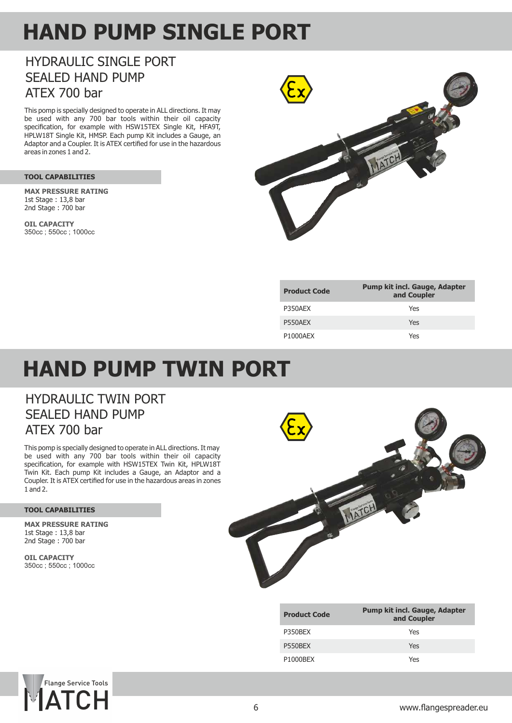## **HAND PUMP SINGLE PORT**

## HYDRAULIC SINGLE PORT SEALED HAND PUMP ATEX 700 bar

This pomp is specially designed to operate in ALL directions. It may be used with any 700 bar tools within their oil capacity specification, for example with HSW15TEX Single Kit, HFA9T, HPLW18T Single Kit, HMSP. Each pump Kit includes a Gauge, an Adaptor and a Coupler. It is ATEX certified for use in the hazardous areas in zones 1 and 2.

#### **TOOL CAPABILITIES**

1st Stage : 13,8 bar 2nd Stage : 700 bar **MAX PRESSURE RATING**

**OIL CAPACITY** 350cc ; 550cc ; 1000cc



| <b>Product Code</b>   | <b>Pump kit incl. Gauge, Adapter</b><br>and Coupler |
|-----------------------|-----------------------------------------------------|
| P350AFX               | Yes                                                 |
| P550AEX               | Yes                                                 |
| P <sub>1000</sub> AFX | Yes                                                 |

## **HAND PUMP TWIN PORT**

### HYDRAULIC TWIN PORT SEALED HAND PUMP ATEX 700 bar

be used with any 700 bar tools within their oil capacity specification, for example with HSW15TEX Twin Kit, HPLW18T Twin Kit. Each pump Kit includes a Gauge, an Adaptor and a Coupler. It is ATEX certified for use in the hazardous areas in zones 1 and 2. This pomp is specially designed to operate in ALL directions. It may

#### **TOOL CAPABILITIES**

**MAX PRESSURE RATING** 2nd Stage : 700 bar 1st Stage : 13,8 bar

**OIL CAPACITY** 350cc ; 550cc ; 1000cc



| <b>Product Code</b>   | <b>Pump kit incl. Gauge, Adapter</b><br>and Coupler |
|-----------------------|-----------------------------------------------------|
| P350BFX               | Yes                                                 |
| P550BFX               | Yes                                                 |
| P <sub>1000</sub> BFX | Yes                                                 |

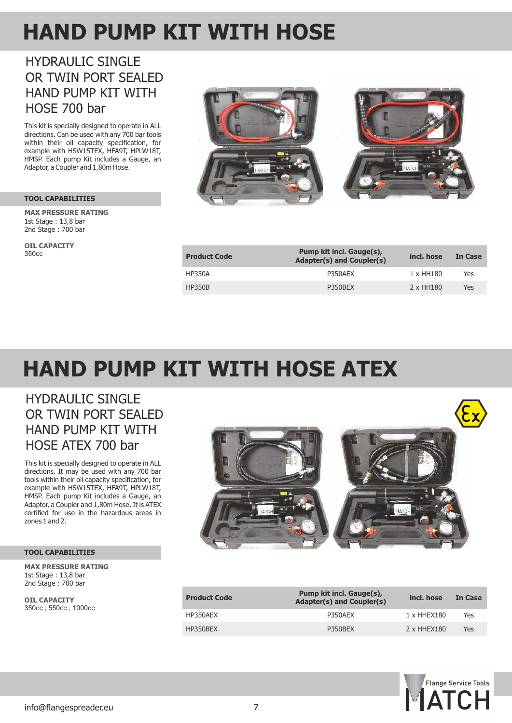## **HAND PUMP KIT WITH HOSE**

## **HYDRAULIC SINGLE** OR TWIN PORT SEALED HAND PUMP KIT WITH HOSE 700 bar

This kit is specially designed to operate in ALL directions. Can be used with any 700 bar tools within their oil capacity specification, for example with HSW15TEX, HFA9T, HPLW18T, HMSP. Each pump Kit includes a Gauge, an Adaptor, a Coupler and 1,80m Hose.

#### **TOOL CAPABILITIES**

2nd Stage : 700 bar 1st Stage : 13,8 bar **MAX PRESSURE RATING**

**OIL CAPACITY** 350cc



| <b>Product Code</b> | Pump kit incl. Gauge(s),<br>Adapter(s) and Coupler(s) | incl. hose | In Case |
|---------------------|-------------------------------------------------------|------------|---------|
| <b>HP350A</b>       | P350AEX                                               | 1 x HH180  | Yes     |
| <b>HP350B</b>       | P350BEX                                               | 2 x HH180  | Yes     |

# **HAND PUMP KIT WITH HOSE ATEX**

## HYDRAULIC SINGLE OR TWIN PORT SEALED HAND PUMP KIT WITH HOSE ATEX 700 bar

This kit is specially designed to operate in ALL directions. It may be used with any 700 bar tools within their oil capacity specification, for example with HSW15TEX, HFA9T, HPLW18T, HMSP. Each pump Kit includes a Gauge, an Adaptor, a Coupler and 1,80m Hose. It is ATEX certified for use in the hazardous areas in zones 1 and 2.

#### **TOOL CAPABILITIES**

2nd Stage : 700 bar **MAX PRESSURE RATING** 1st Stage : 13,8 bar

**OIL CAPACITY** 350cc ; 550cc ; 1000cc



| <b>Product Code</b> | Pump kit incl. Gauge(s),<br>Adapter(s) and Coupler(s) | incl. hose  | In Case |
|---------------------|-------------------------------------------------------|-------------|---------|
| HP350AEX            | P350AFX                                               | 1 x HHEX180 | Yes     |
| HP350BEX            | P350BEX                                               | 2 x HHEX180 | Yes     |